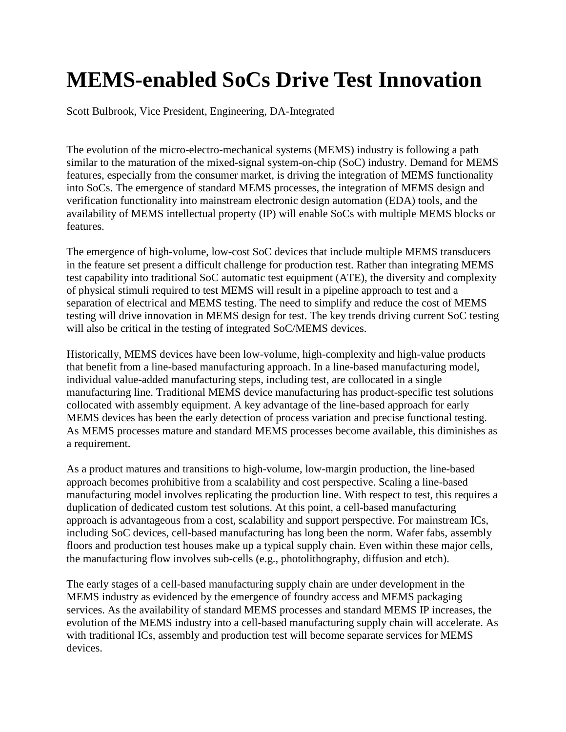## **MEMS-enabled SoCs Drive Test Innovation**

Scott Bulbrook, Vice President, Engineering, DA-Integrated

The evolution of the micro-electro-mechanical systems (MEMS) industry is following a path similar to the maturation of the mixed-signal system-on-chip (SoC) industry. Demand for MEMS features, especially from the consumer market, is driving the integration of MEMS functionality into SoCs. The emergence of standard MEMS processes, the integration of MEMS design and verification functionality into mainstream electronic design automation (EDA) tools, and the availability of MEMS intellectual property (IP) will enable SoCs with multiple MEMS blocks or features.

The emergence of high-volume, low-cost SoC devices that include multiple MEMS transducers in the feature set present a difficult challenge for production test. Rather than integrating MEMS test capability into traditional SoC automatic test equipment (ATE), the diversity and complexity of physical stimuli required to test MEMS will result in a pipeline approach to test and a separation of electrical and MEMS testing. The need to simplify and reduce the cost of MEMS testing will drive innovation in MEMS design for test. The key trends driving current SoC testing will also be critical in the testing of integrated SoC/MEMS devices.

Historically, MEMS devices have been low-volume, high-complexity and high-value products that benefit from a line-based manufacturing approach. In a line-based manufacturing model, individual value-added manufacturing steps, including test, are collocated in a single manufacturing line. Traditional MEMS device manufacturing has product-specific test solutions collocated with assembly equipment. A key advantage of the line-based approach for early MEMS devices has been the early detection of process variation and precise functional testing. As MEMS processes mature and standard MEMS processes become available, this diminishes as a requirement.

As a product matures and transitions to high-volume, low-margin production, the line-based approach becomes prohibitive from a scalability and cost perspective. Scaling a line-based manufacturing model involves replicating the production line. With respect to test, this requires a duplication of dedicated custom test solutions. At this point, a cell-based manufacturing approach is advantageous from a cost, scalability and support perspective. For mainstream ICs, including SoC devices, cell-based manufacturing has long been the norm. Wafer fabs, assembly floors and production test houses make up a typical supply chain. Even within these major cells, the manufacturing flow involves sub-cells (e.g., photolithography, diffusion and etch).

The early stages of a cell-based manufacturing supply chain are under development in the MEMS industry as evidenced by the emergence of foundry access and MEMS packaging services. As the availability of standard MEMS processes and standard MEMS IP increases, the evolution of the MEMS industry into a cell-based manufacturing supply chain will accelerate. As with traditional ICs, assembly and production test will become separate services for MEMS devices.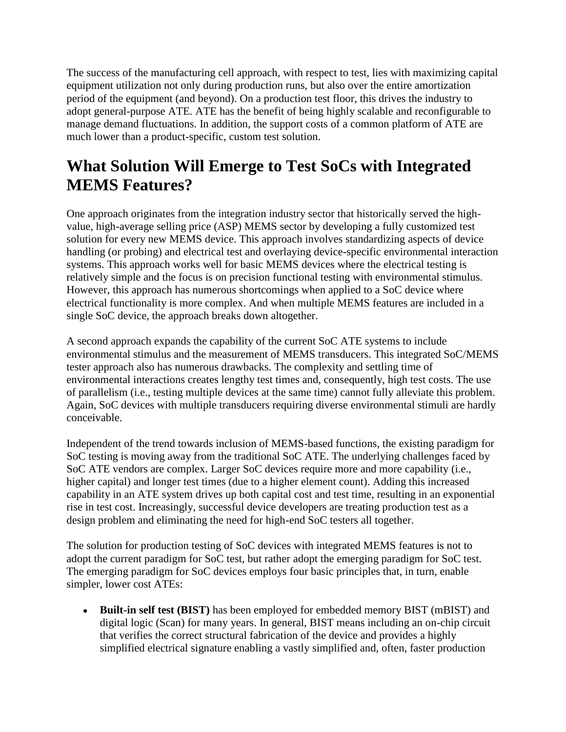The success of the manufacturing cell approach, with respect to test, lies with maximizing capital equipment utilization not only during production runs, but also over the entire amortization period of the equipment (and beyond). On a production test floor, this drives the industry to adopt general-purpose ATE. ATE has the benefit of being highly scalable and reconfigurable to manage demand fluctuations. In addition, the support costs of a common platform of ATE are much lower than a product-specific, custom test solution.

## **What Solution Will Emerge to Test SoCs with Integrated MEMS Features?**

One approach originates from the integration industry sector that historically served the highvalue, high-average selling price (ASP) MEMS sector by developing a fully customized test solution for every new MEMS device. This approach involves standardizing aspects of device handling (or probing) and electrical test and overlaying device-specific environmental interaction systems. This approach works well for basic MEMS devices where the electrical testing is relatively simple and the focus is on precision functional testing with environmental stimulus. However, this approach has numerous shortcomings when applied to a SoC device where electrical functionality is more complex. And when multiple MEMS features are included in a single SoC device, the approach breaks down altogether.

A second approach expands the capability of the current SoC ATE systems to include environmental stimulus and the measurement of MEMS transducers. This integrated SoC/MEMS tester approach also has numerous drawbacks. The complexity and settling time of environmental interactions creates lengthy test times and, consequently, high test costs. The use of parallelism (i.e., testing multiple devices at the same time) cannot fully alleviate this problem. Again, SoC devices with multiple transducers requiring diverse environmental stimuli are hardly conceivable.

Independent of the trend towards inclusion of MEMS-based functions, the existing paradigm for SoC testing is moving away from the traditional SoC ATE. The underlying challenges faced by SoC ATE vendors are complex. Larger SoC devices require more and more capability (i.e., higher capital) and longer test times (due to a higher element count). Adding this increased capability in an ATE system drives up both capital cost and test time, resulting in an exponential rise in test cost. Increasingly, successful device developers are treating production test as a design problem and eliminating the need for high-end SoC testers all together.

The solution for production testing of SoC devices with integrated MEMS features is not to adopt the current paradigm for SoC test, but rather adopt the emerging paradigm for SoC test. The emerging paradigm for SoC devices employs four basic principles that, in turn, enable simpler, lower cost ATEs:

**Built-in self test (BIST)** has been employed for embedded memory BIST (mBIST) and digital logic (Scan) for many years. In general, BIST means including an on-chip circuit that verifies the correct structural fabrication of the device and provides a highly simplified electrical signature enabling a vastly simplified and, often, faster production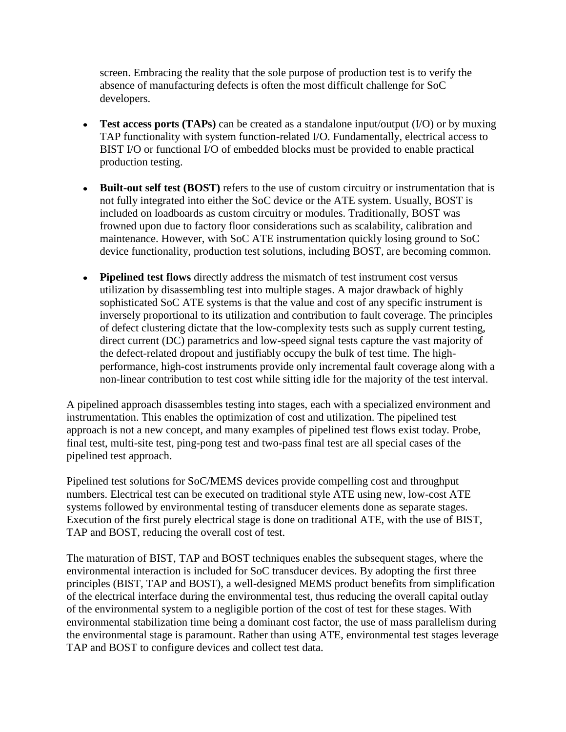screen. Embracing the reality that the sole purpose of production test is to verify the absence of manufacturing defects is often the most difficult challenge for SoC developers.

- **Test access ports (TAPs)** can be created as a standalone input/output  $(I/O)$  or by muxing TAP functionality with system function-related I/O. Fundamentally, electrical access to BIST I/O or functional I/O of embedded blocks must be provided to enable practical production testing.
- **Built-out self test (BOST)** refers to the use of custom circuitry or instrumentation that is not fully integrated into either the SoC device or the ATE system. Usually, BOST is included on loadboards as custom circuitry or modules. Traditionally, BOST was frowned upon due to factory floor considerations such as scalability, calibration and maintenance. However, with SoC ATE instrumentation quickly losing ground to SoC device functionality, production test solutions, including BOST, are becoming common.
- **Pipelined test flows** directly address the mismatch of test instrument cost versus utilization by disassembling test into multiple stages. A major drawback of highly sophisticated SoC ATE systems is that the value and cost of any specific instrument is inversely proportional to its utilization and contribution to fault coverage. The principles of defect clustering dictate that the low-complexity tests such as supply current testing, direct current (DC) parametrics and low-speed signal tests capture the vast majority of the defect-related dropout and justifiably occupy the bulk of test time. The highperformance, high-cost instruments provide only incremental fault coverage along with a non-linear contribution to test cost while sitting idle for the majority of the test interval.

A pipelined approach disassembles testing into stages, each with a specialized environment and instrumentation. This enables the optimization of cost and utilization. The pipelined test approach is not a new concept, and many examples of pipelined test flows exist today. Probe, final test, multi-site test, ping-pong test and two-pass final test are all special cases of the pipelined test approach.

Pipelined test solutions for SoC/MEMS devices provide compelling cost and throughput numbers. Electrical test can be executed on traditional style ATE using new, low-cost ATE systems followed by environmental testing of transducer elements done as separate stages. Execution of the first purely electrical stage is done on traditional ATE, with the use of BIST, TAP and BOST, reducing the overall cost of test.

The maturation of BIST, TAP and BOST techniques enables the subsequent stages, where the environmental interaction is included for SoC transducer devices. By adopting the first three principles (BIST, TAP and BOST), a well-designed MEMS product benefits from simplification of the electrical interface during the environmental test, thus reducing the overall capital outlay of the environmental system to a negligible portion of the cost of test for these stages. With environmental stabilization time being a dominant cost factor, the use of mass parallelism during the environmental stage is paramount. Rather than using ATE, environmental test stages leverage TAP and BOST to configure devices and collect test data.